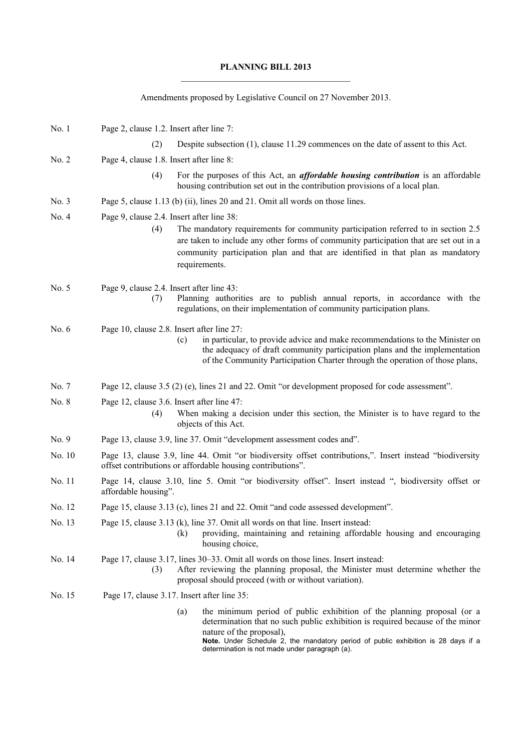## **PLANNING BILL 2013**

Amendments proposed by Legislative Council on 27 November 2013.

| No. 1   | Page 2, clause 1.2. Insert after line 7:                                                                                                                                                                                           |     |                                                                                                                                                                                                                                                                                                                            |
|---------|------------------------------------------------------------------------------------------------------------------------------------------------------------------------------------------------------------------------------------|-----|----------------------------------------------------------------------------------------------------------------------------------------------------------------------------------------------------------------------------------------------------------------------------------------------------------------------------|
|         | (2)                                                                                                                                                                                                                                |     | Despite subsection (1), clause 11.29 commences on the date of assent to this Act.                                                                                                                                                                                                                                          |
| No. 2   | Page 4, clause 1.8. Insert after line 8:                                                                                                                                                                                           |     |                                                                                                                                                                                                                                                                                                                            |
|         | (4)                                                                                                                                                                                                                                |     | For the purposes of this Act, an <i>affordable housing contribution</i> is an affordable<br>housing contribution set out in the contribution provisions of a local plan.                                                                                                                                                   |
| No. 3   | Page 5, clause 1.13 (b) (ii), lines 20 and 21. Omit all words on those lines.                                                                                                                                                      |     |                                                                                                                                                                                                                                                                                                                            |
| No. 4   | Page 9, clause 2.4. Insert after line 38:<br>(4)                                                                                                                                                                                   |     | The mandatory requirements for community participation referred to in section 2.5<br>are taken to include any other forms of community participation that are set out in a<br>community participation plan and that are identified in that plan as mandatory<br>requirements.                                              |
| No. 5   | Page 9, clause 2.4. Insert after line 43:<br>(7)                                                                                                                                                                                   |     | Planning authorities are to publish annual reports, in accordance with the<br>regulations, on their implementation of community participation plans.                                                                                                                                                                       |
| No. $6$ | Page 10, clause 2.8. Insert after line 27:                                                                                                                                                                                         | (c) | in particular, to provide advice and make recommendations to the Minister on<br>the adequacy of draft community participation plans and the implementation<br>of the Community Participation Charter through the operation of those plans,                                                                                 |
| No. 7   | Page 12, clause 3.5 (2) (e), lines 21 and 22. Omit "or development proposed for code assessment".                                                                                                                                  |     |                                                                                                                                                                                                                                                                                                                            |
| No. 8   | Page 12, clause 3.6. Insert after line 47:<br>(4)                                                                                                                                                                                  |     | When making a decision under this section, the Minister is to have regard to the<br>objects of this Act.                                                                                                                                                                                                                   |
| No. 9   | Page 13, clause 3.9, line 37. Omit "development assessment codes and".                                                                                                                                                             |     |                                                                                                                                                                                                                                                                                                                            |
| No. 10  | Page 13, clause 3.9, line 44. Omit "or biodiversity offset contributions,". Insert instead "biodiversity<br>offset contributions or affordable housing contributions".                                                             |     |                                                                                                                                                                                                                                                                                                                            |
| No. 11  | Page 14, clause 3.10, line 5. Omit "or biodiversity offset". Insert instead ", biodiversity offset or<br>affordable housing".                                                                                                      |     |                                                                                                                                                                                                                                                                                                                            |
| No. 12  | Page 15, clause 3.13 (c), lines 21 and 22. Omit "and code assessed development".                                                                                                                                                   |     |                                                                                                                                                                                                                                                                                                                            |
| No. 13  |                                                                                                                                                                                                                                    | (k) | Page 15, clause 3.13 (k), line 37. Omit all words on that line. Insert instead:<br>providing, maintaining and retaining affordable housing and encouraging<br>housing choice,                                                                                                                                              |
| No. 14  | Page 17, clause 3.17, lines 30–33. Omit all words on those lines. Insert instead:<br>After reviewing the planning proposal, the Minister must determine whether the<br>(3)<br>proposal should proceed (with or without variation). |     |                                                                                                                                                                                                                                                                                                                            |
| No. 15  | Page 17, clause 3.17. Insert after line 35:                                                                                                                                                                                        |     |                                                                                                                                                                                                                                                                                                                            |
|         |                                                                                                                                                                                                                                    | (a) | the minimum period of public exhibition of the planning proposal (or a<br>determination that no such public exhibition is required because of the minor<br>nature of the proposal),<br>Note. Under Schedule 2, the mandatory period of public exhibition is 28 days if a<br>determination is not made under paragraph (a). |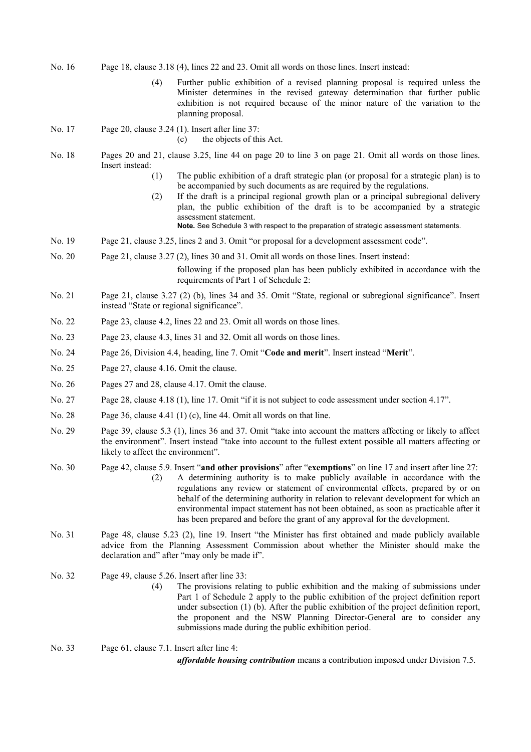- No. 16 Page 18, clause 3.18 (4), lines 22 and 23. Omit all words on those lines. Insert instead:
	- (4) Further public exhibition of a revised planning proposal is required unless the Minister determines in the revised gateway determination that further public exhibition is not required because of the minor nature of the variation to the planning proposal.
- No. 17 Page 20, clause 3.24 (1). Insert after line 37:

(c) the objects of this Act.

- No. 18 Pages 20 and 21, clause 3.25, line 44 on page 20 to line 3 on page 21. Omit all words on those lines. Insert instead:
	- (1) The public exhibition of a draft strategic plan (or proposal for a strategic plan) is to be accompanied by such documents as are required by the regulations.
	- (2) If the draft is a principal regional growth plan or a principal subregional delivery plan, the public exhibition of the draft is to be accompanied by a strategic assessment statement.

**Note.** See Schedule 3 with respect to the preparation of strategic assessment statements.

- No. 19 Page 21, clause 3.25, lines 2 and 3. Omit "or proposal for a development assessment code".
- No. 20 Page 21, clause 3.27 (2), lines 30 and 31. Omit all words on those lines. Insert instead:

following if the proposed plan has been publicly exhibited in accordance with the requirements of Part 1 of Schedule 2:

- No. 21 Page 21, clause 3.27 (2) (b), lines 34 and 35. Omit "State, regional or subregional significance". Insert instead "State or regional significance".
- No. 22 Page 23, clause 4.2, lines 22 and 23. Omit all words on those lines.
- No. 23 Page 23, clause 4.3, lines 31 and 32. Omit all words on those lines.
- No. 24 Page 26, Division 4.4, heading, line 7. Omit "**Code and merit**". Insert instead "**Merit**".
- No. 25 Page 27, clause 4.16. Omit the clause.
- No. 26 Pages 27 and 28, clause 4.17. Omit the clause.
- No. 27 Page 28, clause 4.18 (1), line 17. Omit "if it is not subject to code assessment under section 4.17".
- No. 28 Page 36, clause 4.41 (1) (c), line 44. Omit all words on that line.
- No. 29 Page 39, clause 5.3 (1), lines 36 and 37. Omit "take into account the matters affecting or likely to affect the environment". Insert instead "take into account to the fullest extent possible all matters affecting or likely to affect the environment".
- No. 30 Page 42, clause 5.9. Insert "**and other provisions**" after "**exemptions**" on line 17 and insert after line 27: (2) A determining authority is to make publicly available in accordance with the regulations any review or statement of environmental effects, prepared by or on behalf of the determining authority in relation to relevant development for which an environmental impact statement has not been obtained, as soon as practicable after it has been prepared and before the grant of any approval for the development.
- No. 31 Page 48, clause 5.23 (2), line 19. Insert "the Minister has first obtained and made publicly available advice from the Planning Assessment Commission about whether the Minister should make the declaration and" after "may only be made if".
- No. 32 Page 49, clause 5.26. Insert after line 33:
	- (4) The provisions relating to public exhibition and the making of submissions under Part 1 of Schedule 2 apply to the public exhibition of the project definition report under subsection (1) (b). After the public exhibition of the project definition report, the proponent and the NSW Planning Director-General are to consider any submissions made during the public exhibition period.
- No. 33 Page 61, clause 7.1. Insert after line 4:

*affordable housing contribution* means a contribution imposed under Division 7.5.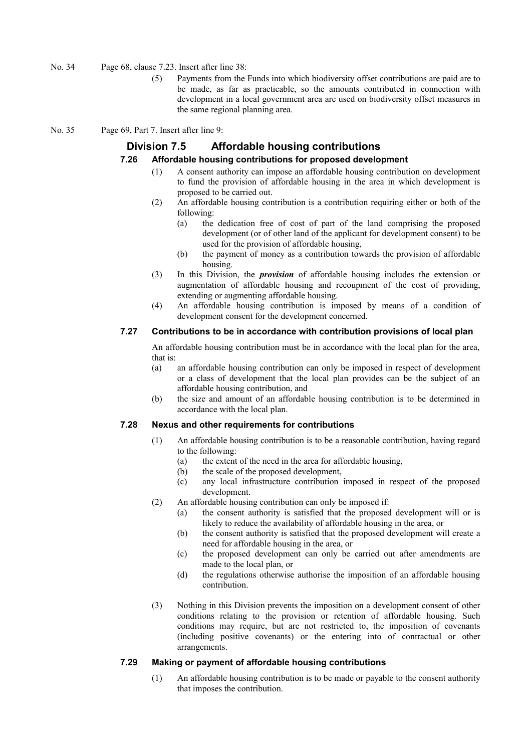- No. 34 Page 68, clause 7.23. Insert after line 38:
	- (5) Payments from the Funds into which biodiversity offset contributions are paid are to be made, as far as practicable, so the amounts contributed in connection with development in a local government area are used on biodiversity offset measures in the same regional planning area.
- No. 35 Page 69, Part 7. Insert after line 9:

# **Division 7.5 Affordable housing contributions**

## **7.26 Affordable housing contributions for proposed development**

- (1) A consent authority can impose an affordable housing contribution on development to fund the provision of affordable housing in the area in which development is proposed to be carried out.
- (2) An affordable housing contribution is a contribution requiring either or both of the following:
	- (a) the dedication free of cost of part of the land comprising the proposed development (or of other land of the applicant for development consent) to be used for the provision of affordable housing,
	- (b) the payment of money as a contribution towards the provision of affordable housing.
- (3) In this Division, the *provision* of affordable housing includes the extension or augmentation of affordable housing and recoupment of the cost of providing, extending or augmenting affordable housing.
- (4) An affordable housing contribution is imposed by means of a condition of development consent for the development concerned.

### **7.27 Contributions to be in accordance with contribution provisions of local plan**

An affordable housing contribution must be in accordance with the local plan for the area, that is:

- (a) an affordable housing contribution can only be imposed in respect of development or a class of development that the local plan provides can be the subject of an affordable housing contribution, and
- (b) the size and amount of an affordable housing contribution is to be determined in accordance with the local plan.

## **7.28 Nexus and other requirements for contributions**

- (1) An affordable housing contribution is to be a reasonable contribution, having regard to the following:
	- (a) the extent of the need in the area for affordable housing,
	- (b) the scale of the proposed development,
	- (c) any local infrastructure contribution imposed in respect of the proposed development.
- (2) An affordable housing contribution can only be imposed if:
	- (a) the consent authority is satisfied that the proposed development will or is likely to reduce the availability of affordable housing in the area, or
	- (b) the consent authority is satisfied that the proposed development will create a need for affordable housing in the area, or
	- (c) the proposed development can only be carried out after amendments are made to the local plan, or
	- (d) the regulations otherwise authorise the imposition of an affordable housing contribution.
- (3) Nothing in this Division prevents the imposition on a development consent of other conditions relating to the provision or retention of affordable housing. Such conditions may require, but are not restricted to, the imposition of covenants (including positive covenants) or the entering into of contractual or other arrangements.

## **7.29 Making or payment of affordable housing contributions**

(1) An affordable housing contribution is to be made or payable to the consent authority that imposes the contribution.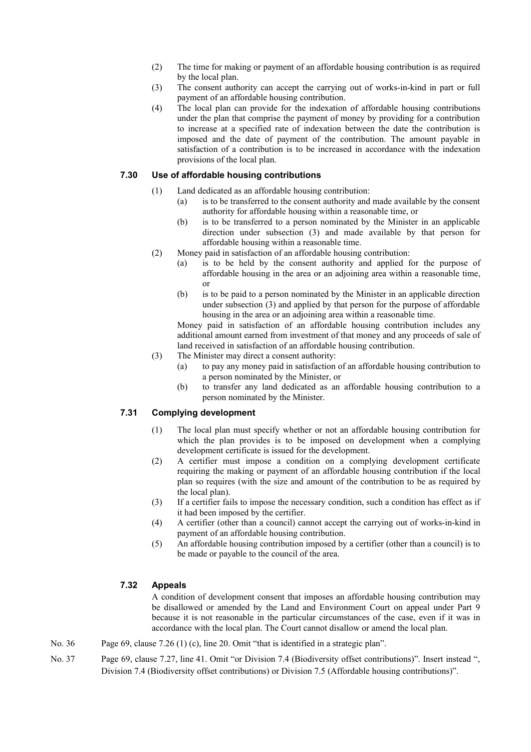- (2) The time for making or payment of an affordable housing contribution is as required by the local plan.
- (3) The consent authority can accept the carrying out of works-in-kind in part or full payment of an affordable housing contribution.
- (4) The local plan can provide for the indexation of affordable housing contributions under the plan that comprise the payment of money by providing for a contribution to increase at a specified rate of indexation between the date the contribution is imposed and the date of payment of the contribution. The amount payable in satisfaction of a contribution is to be increased in accordance with the indexation provisions of the local plan.

# **7.30 Use of affordable housing contributions**

- (1) Land dedicated as an affordable housing contribution:
	- (a) is to be transferred to the consent authority and made available by the consent authority for affordable housing within a reasonable time, or
	- (b) is to be transferred to a person nominated by the Minister in an applicable direction under subsection (3) and made available by that person for affordable housing within a reasonable time.
- (2) Money paid in satisfaction of an affordable housing contribution:
	- (a) is to be held by the consent authority and applied for the purpose of affordable housing in the area or an adjoining area within a reasonable time, or
	- (b) is to be paid to a person nominated by the Minister in an applicable direction under subsection (3) and applied by that person for the purpose of affordable housing in the area or an adjoining area within a reasonable time.

Money paid in satisfaction of an affordable housing contribution includes any additional amount earned from investment of that money and any proceeds of sale of land received in satisfaction of an affordable housing contribution.

- (3) The Minister may direct a consent authority:
	- (a) to pay any money paid in satisfaction of an affordable housing contribution to a person nominated by the Minister, or
	- (b) to transfer any land dedicated as an affordable housing contribution to a person nominated by the Minister.

# **7.31 Complying development**

- (1) The local plan must specify whether or not an affordable housing contribution for which the plan provides is to be imposed on development when a complying development certificate is issued for the development.
- (2) A certifier must impose a condition on a complying development certificate requiring the making or payment of an affordable housing contribution if the local plan so requires (with the size and amount of the contribution to be as required by the local plan).
- (3) If a certifier fails to impose the necessary condition, such a condition has effect as if it had been imposed by the certifier.
- (4) A certifier (other than a council) cannot accept the carrying out of works-in-kind in payment of an affordable housing contribution.
- (5) An affordable housing contribution imposed by a certifier (other than a council) is to be made or payable to the council of the area.

## **7.32 Appeals**

A condition of development consent that imposes an affordable housing contribution may be disallowed or amended by the Land and Environment Court on appeal under Part 9 because it is not reasonable in the particular circumstances of the case, even if it was in accordance with the local plan. The Court cannot disallow or amend the local plan.

- No. 36 Page 69, clause 7.26 (1) (c), line 20. Omit "that is identified in a strategic plan".
- No. 37 Page 69, clause 7.27, line 41. Omit "or Division 7.4 (Biodiversity offset contributions)". Insert instead ", Division 7.4 (Biodiversity offset contributions) or Division 7.5 (Affordable housing contributions)".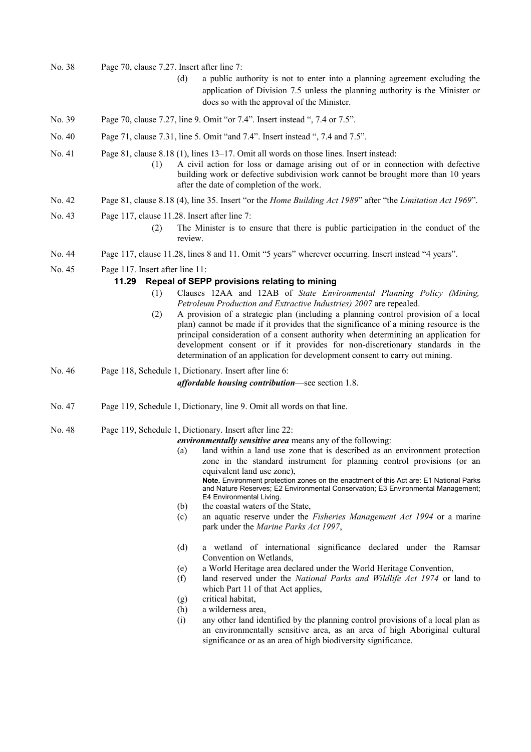- No. 38 Page 70, clause 7.27. Insert after line 7:
	- (d) a public authority is not to enter into a planning agreement excluding the application of Division 7.5 unless the planning authority is the Minister or does so with the approval of the Minister.
- No. 39 Page 70, clause 7.27, line 9. Omit "or 7.4". Insert instead ", 7.4 or 7.5".
- No. 40 Page 71, clause 7.31, line 5. Omit "and 7.4". Insert instead ", 7.4 and 7.5".
- No. 41 Page 81, clause 8.18 (1), lines 13–17. Omit all words on those lines. Insert instead:
	- (1) A civil action for loss or damage arising out of or in connection with defective building work or defective subdivision work cannot be brought more than 10 years after the date of completion of the work.
- No. 42 Page 81, clause 8.18 (4), line 35. Insert "or the *Home Building Act 1989*" after "the *Limitation Act 1969*".
- No. 43 Page 117, clause 11.28. Insert after line 7:
	- (2) The Minister is to ensure that there is public participation in the conduct of the review.
- No. 44 Page 117, clause 11.28, lines 8 and 11. Omit "5 years" wherever occurring. Insert instead "4 years".
- No. 45 Page 117. Insert after line 11:

#### **11.29 Repeal of SEPP provisions relating to mining**

- (1) Clauses 12AA and 12AB of *State Environmental Planning Policy (Mining, Petroleum Production and Extractive Industries) 2007* are repealed.
- (2) A provision of a strategic plan (including a planning control provision of a local plan) cannot be made if it provides that the significance of a mining resource is the principal consideration of a consent authority when determining an application for development consent or if it provides for non-discretionary standards in the determination of an application for development consent to carry out mining.

No. 46 Page 118, Schedule 1, Dictionary. Insert after line 6: *affordable housing contribution*—see section 1.8.

- No. 47 Page 119, Schedule 1, Dictionary, line 9. Omit all words on that line.
- No. 48 Page 119, Schedule 1, Dictionary. Insert after line 22:

*environmentally sensitive area* means any of the following:

- (a) land within a land use zone that is described as an environment protection zone in the standard instrument for planning control provisions (or an equivalent land use zone), **Note.** Environment protection zones on the enactment of this Act are: E1 National Parks and Nature Reserves; E2 Environmental Conservation; E3 Environmental Management; E4 Environmental Living.
- (b) the coastal waters of the State,
- (c) an aquatic reserve under the *Fisheries Management Act 1994* or a marine park under the *Marine Parks Act 1997*,
- (d) a wetland of international significance declared under the Ramsar Convention on Wetlands,
- (e) a World Heritage area declared under the World Heritage Convention,
- (f) land reserved under the *National Parks and Wildlife Act 1974* or land to which Part 11 of that Act applies,
- (g) critical habitat,
- (h) a wilderness area,
- (i) any other land identified by the planning control provisions of a local plan as an environmentally sensitive area, as an area of high Aboriginal cultural significance or as an area of high biodiversity significance.